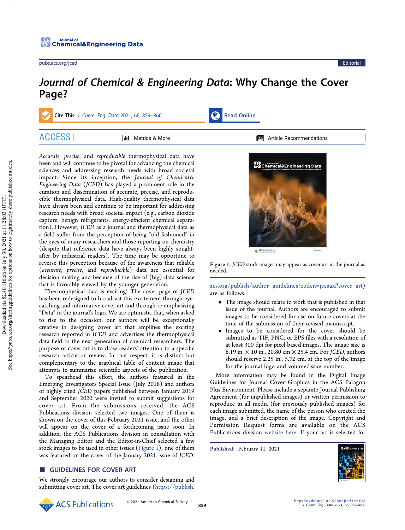# Journal of Chemical & Engineering Data: Why Change the Cover Page?

Cite This: J. Chem. Eng. Data 2021, 66, 859–860 Read Online ACCESS | Metrics & More | Metrics Article Recommendations

Accurate, precise, and reproducible thermophysical data have been and will continue to be pivotal for advancing the chemical sciences and addressing research needs with broad societal impact. Since its inception, the Journal of Chemical& Engineering Data (JCED) has played a prominent role in the curation and dissemination of accurate, precise, and reproducible thermophysical data. High-quality thermophysical data have always been and continue to be important for addressing research needs with broad societal impact (e.g., carbon dioxide capture, benign refrigerants, energy-efficient chemical separation). However, JCED as a journal and thermophysical data as a field suffer from the perception of being "old fashioned" in the eyes of many researchers and those reporting on chemistry (despite that reference data have always been highly soughtafter by industrial readers). The time may be opportune to reverse this perception because of the awareness that reliable (accurate, precise, and reproducible) data are essential for decision making and because of the rise of (big) data science that is favorably viewed by the younger generation.

Thermophysical data is exciting! The cover page of JCED has been redesigned to broadcast this excitement through eyecatching and informative cover art and through re-emphasizing "Data" in the journal's logo. We are optimistic that, when asked to rise to the occasion, our authors will be exceptionally creative in designing cover art that amplifies the exciting research reported in JCED and advertises the thermophysical data field to the next generation of chemical researchers. The purpose of cover art is to draw readers' attention to a specific research article or review. In that respect, it is distinct but complementary to the graphical table of content image that attempts to summarize scientific aspects of the publication.

To spearhead this effort, the authors featured in the Emerging Investigators Special Issue (July 2018) and authors of highly cited JCED papers published between January 2019 and September 2020 were invited to submit suggestions for cover art. From the submissions received, the ACS Publications division selected two images. One of them is shown on the cover of this February 2021 issue, and the other will appear on the cover of a forthcoming issue soon. In addition, the ACS Publications division in consultation with the Managing Editor and the Editor-in-Chief selected a few stock images to be used in other issues (Figure 1); one of them was featured on the cover of the January 2021 issue of JCED.

## ■ GUIDELINES FOR COVER ART

We strongly encourage our authors to consider designing and submitting cover art. The cover art guidelines (https://publish.



Figure 1. JCED stock images may appear as cover art in the journal as needed.

acs.org/publish/author\_guidelines?coden=jceaax#cover\_art) are as follows:

- The image should relate to work that is published in that issue of the journal. Authors are encouraged to submit images to be considered for use on future covers at the time of the submission of their revised manuscript.
- Images to be considered for the cover should be submitted as TIF, PNG, or EPS files with a resolution of at least 300 dpi for pixel based images. The image size is 8.19 in. × 10 in., 20.80 cm × 25.4 cm. For JCED, authors should reserve 2.25 in., 5.72 cm, at the top of the image for the journal logo and volume/issue number.

More information may be found in the Digital Image Guidelines for Journal Cover Graphics in the ACS Paragon Plus Environment. Please include a separate Journal Publishing Agreement (for unpublished images) or written permission to reproduce in all media (for previously published images) for each image submitted, the name of the person who created the image, and a brief description of the image. Copyright and Permission Request forms are available on the ACS Publications division website here. If your art is selected for

Published: February 11, 2021